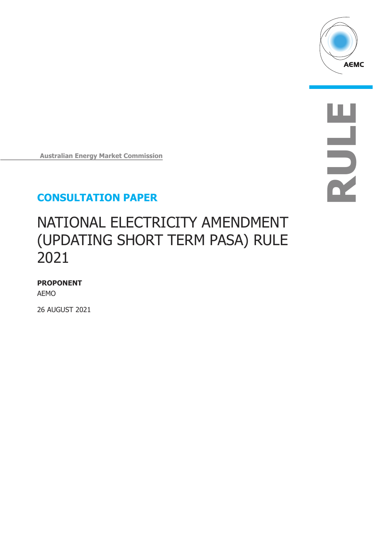

**RULE**

**Australian Energy Market Commission**

# **CONSULTATION PAPER**

# NATIONAL ELECTRICITY AMENDMENT (UPDATING SHORT TERM PASA) RULE 2021

### **PROPONENT**

AEMO

26 AUGUST 2021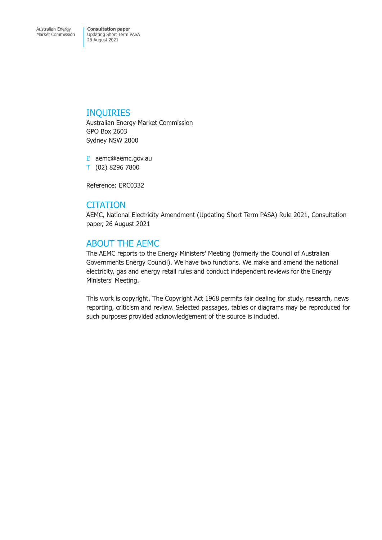### INQUIRIES

Australian Energy Market Commission GPO Box 2603 Sydney NSW 2000

E aemc@aemc.gov.au T (02) 8296 7800

Reference: ERC0332

# **CITATION**

AEMC, National Electricity Amendment (Updating Short Term PASA) Rule 2021, Consultation paper, 26 August 2021

# ABOUT THE AEMC

The AEMC reports to the Energy Ministers' Meeting (formerly the Council of Australian Governments Energy Council). We have two functions. We make and amend the national electricity, gas and energy retail rules and conduct independent reviews for the Energy Ministers' Meeting.

This work is copyright. The Copyright Act 1968 permits fair dealing for study, research, news reporting, criticism and review. Selected passages, tables or diagrams may be reproduced for such purposes provided acknowledgement of the source is included.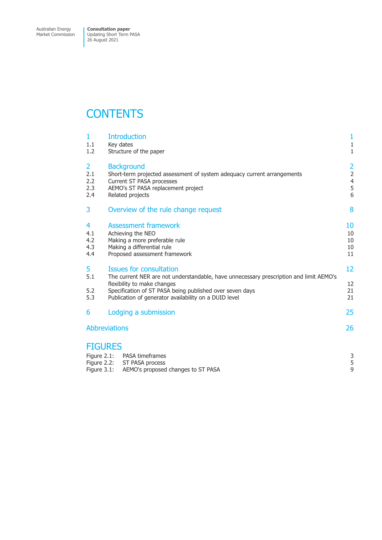Market Commission

Updating Short Term PASA 26 August 2021

# **CONTENTS**

| $\mathbf{1}$<br>1.1<br>1.2                      | <b>Introduction</b><br>Key dates<br>Structure of the paper                                                                                                                                                                                                                   | 1<br>$\mathbf{1}$<br>$\mathbf{1}$                  |
|-------------------------------------------------|------------------------------------------------------------------------------------------------------------------------------------------------------------------------------------------------------------------------------------------------------------------------------|----------------------------------------------------|
| $\overline{2}$<br>2.1<br>2.2<br>2.3<br>2.4      | <b>Background</b><br>Short-term projected assessment of system adequacy current arrangements<br>Current ST PASA processes<br>AEMO's ST PASA replacement project<br>Related projects                                                                                          | $\overline{\mathbf{c}}$<br>$\frac{2}{4}$<br>5<br>6 |
| 3                                               | Overview of the rule change request                                                                                                                                                                                                                                          | 8                                                  |
| 4<br>4.1<br>4.2<br>4.3<br>4.4                   | <b>Assessment framework</b><br>Achieving the NEO<br>Making a more preferable rule<br>Making a differential rule<br>Proposed assessment framework                                                                                                                             | 10<br>10<br>10<br>10<br>11                         |
| 5<br>5.1<br>5.2<br>5.3                          | <b>Issues for consultation</b><br>The current NER are not understandable, have unnecessary prescription and limit AEMO's<br>flexibility to make changes<br>Specification of ST PASA being published over seven days<br>Publication of generator availability on a DUID level | 12<br>12<br>21<br>21                               |
| 6                                               | Lodging a submission                                                                                                                                                                                                                                                         | 25                                                 |
| <b>Abbreviations</b>                            |                                                                                                                                                                                                                                                                              |                                                    |
| <b>FIGURES</b><br>Figure $2.1$ :<br>Figure 2.2: | PASA timeframes<br>ST PASA process                                                                                                                                                                                                                                           | 3<br>5                                             |

Figure 3.1: AEMO's proposed changes to ST PASA 9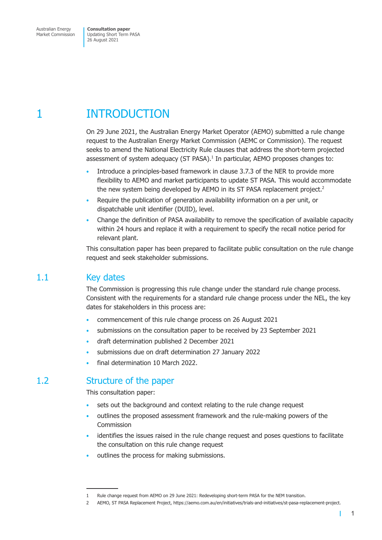# <span id="page-3-0"></span>1 INTRODUCTION

On 29 June 2021, the Australian Energy Market Operator (AEMO) submitted a rule change request to the Australian Energy Market Commission (AEMC or Commission). The request seeks to amend the National Electricity Rule clauses that address the short-term projected assessment of system adequacy (ST PASA).<sup>1</sup> In particular, AEMO proposes changes to:

- Introduce a principles-based framework in clause 3.7.3 of the NER to provide more flexibility to AEMO and market participants to update ST PASA. This would accommodate the new system being developed by AEMO in its ST PASA replacement project.<sup>2</sup>
- Require the publication of generation availability information on a per unit, or dispatchable unit identifier (DUID), level.
- Change the definition of PASA availability to remove the specification of available capacity within 24 hours and replace it with a requirement to specify the recall notice period for relevant plant.

This consultation paper has been prepared to facilitate public consultation on the rule change request and seek stakeholder submissions.

# 1.1 Key dates

The Commission is progressing this rule change under the standard rule change process. Consistent with the requirements for a standard rule change process under the NEL, the key dates for stakeholders in this process are:

- commencement of this rule change process on 26 August 2021
- submissions on the consultation paper to be received by 23 September 2021
- draft determination published 2 December 2021
- submissions due on draft determination 27 January 2022
- final determination 10 March 2022.

# 1.2 Structure of the paper

This consultation paper:

- sets out the background and context relating to the rule change request
- outlines the proposed assessment framework and the rule-making powers of the Commission
- identifies the issues raised in the rule change request and poses questions to facilitate the consultation on this rule change request
- outlines the process for making submissions.

T

<sup>1</sup> Rule change request from AEMO on 29 June 2021: Redeveloping short-term PASA for the NEM transition.

<sup>2</sup> AEMO, ST PASA Replacement Project, https://aemo.com.au/en/initiatives/trials-and-initiatives/st-pasa-replacement-project.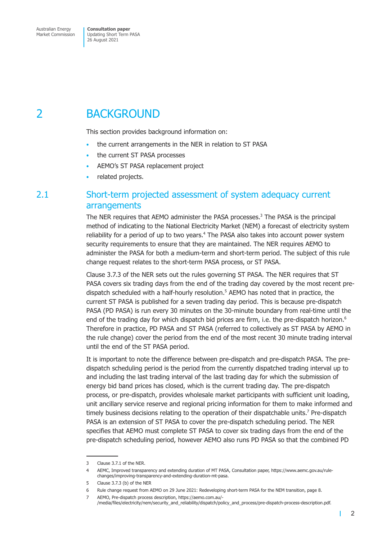# <span id="page-4-0"></span>2 BACKGROUND

This section provides background information on:

- the current arrangements in the NER in relation to ST PASA
- the current ST PASA processes
- AEMO's ST PASA replacement project
- related projects.

# 2.1 Short-term projected assessment of system adequacy current arrangements

The NER requires that AEMO administer the PASA processes.<sup>3</sup> The PASA is the principal method of indicating to the National Electricity Market (NEM) a forecast of electricity system reliability for a period of up to two years.<sup>4</sup> The PASA also takes into account power system security requirements to ensure that they are maintained. The NER requires AEMO to administer the PASA for both a medium-term and short-term period. The subject of this rule change request relates to the short-term PASA process, or ST PASA.

Clause 3.7.3 of the NER sets out the rules governing ST PASA. The NER requires that ST PASA covers six trading days from the end of the trading day covered by the most recent predispatch scheduled with a half-hourly resolution.<sup>5</sup> AEMO has noted that in practice, the current ST PASA is published for a seven trading day period. This is because pre-dispatch PASA (PD PASA) is run every 30 minutes on the 30-minute boundary from real-time until the end of the trading day for which dispatch bid prices are firm, i.e. the pre-dispatch horizon.<sup>6</sup> Therefore in practice, PD PASA and ST PASA (referred to collectively as ST PASA by AEMO in the rule change) cover the period from the end of the most recent 30 minute trading interval until the end of the ST PASA period.

It is important to note the difference between pre-dispatch and pre-dispatch PASA. The predispatch scheduling period is the period from the currently dispatched trading interval up to and including the last trading interval of the last trading day for which the submission of energy bid band prices has closed, which is the current trading day. The pre-dispatch process, or pre-dispatch, provides wholesale market participants with sufficient unit loading, unit ancillary service reserve and regional pricing information for them to make informed and timely business decisions relating to the operation of their dispatchable units.<sup>7</sup> Pre-dispatch PASA is an extension of ST PASA to cover the pre-dispatch scheduling period. The NER specifies that AEMO must complete ST PASA to cover six trading days from the end of the pre-dispatch scheduling period, however AEMO also runs PD PASA so that the combined PD

 $\mathbf{I}$ 

<sup>3</sup> Clause 3.7.1 of the NER.

<sup>4</sup> AEMC, Improved transparency and extending duration of MT PASA, Consultation paper, https://www.aemc.gov.au/rulechanges/improving-transparency-and-extending-duration-mt-pasa.

<sup>5</sup> Clause 3.7.3 (b) of the NER

<sup>6</sup> Rule change request from AEMO on 29 June 2021: Redeveloping short-term PASA for the NEM transition, page 8.

<sup>7</sup> AEMO, Pre-dispatch process description, https://aemo.com.au/- /media/files/electricity/nem/security\_and\_reliability/dispatch/policy\_and\_process/pre-dispatch-process-description.pdf.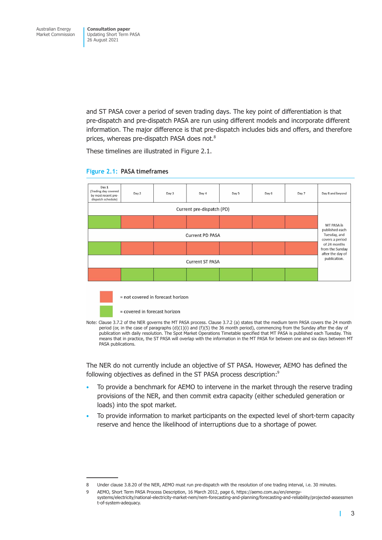and ST PASA cover a period of seven trading days. The key point of differentiation is that pre-dispatch and pre-dispatch PASA are run using different models and incorporate different information. The major difference is that pre-dispatch includes bids and offers, and therefore prices, whereas pre-dispatch PASA does not.<sup>8</sup>

These timelines are illustrated in Figure 2.1.



#### **Figure 2.1: PASA timeframes**

Note: Clause 3.7.2 of the NER governs the MT PASA process. Clause 3.7.2 (a) states that the medium term PASA covers the 24 month period (or, in the case of paragraphs (d)(1)(i) and (f)(5) the 36 month period), commencing from the Sunday after the day of publication with daily resolution. The Spot Market Operations Timetable specified that MT PASA is published each Tuesday. This means that in practice, the ST PASA will overlap with the information in the MT PASA for between one and six days between MT PASA publications.

The NER do not currently include an objective of ST PASA. However, AEMO has defined the following objectives as defined in the ST PASA process description:<sup>9</sup>

- To provide a benchmark for AEMO to intervene in the market through the reserve trading provisions of the NER, and then commit extra capacity (either scheduled generation or loads) into the spot market.
- To provide information to market participants on the expected level of short-term capacity reserve and hence the likelihood of interruptions due to a shortage of power.

т

<sup>8</sup> Under clause 3.8.20 of the NER, AEMO must run pre-dispatch with the resolution of one trading interval, i.e. 30 minutes.

<sup>9</sup> AEMO, Short Term PASA Process Description, 16 March 2012, page 6, https://aemo.com.au/en/energysystems/electricity/national-electricity-market-nem/nem-forecasting-and-planning/forecasting-and-reliability/projected-assessmen t-of-system-adequacy.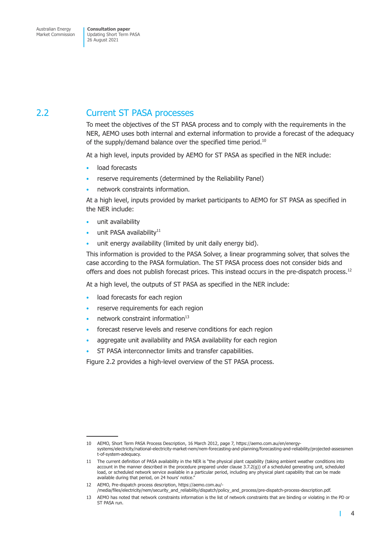# <span id="page-6-0"></span>2.2 Current ST PASA processes

To meet the objectives of the ST PASA process and to comply with the requirements in the NER, AEMO uses both internal and external information to provide a forecast of the adequacy of the supply/demand balance over the specified time period.<sup>10</sup>

At a high level, inputs provided by AEMO for ST PASA as specified in the NER include:

- load forecasts
- reserve requirements (determined by the Reliability Panel)
- network constraints information.

At a high level, inputs provided by market participants to AEMO for ST PASA as specified in the NER include:

- unit availability
- unit PASA availability<sup>11</sup>
- unit energy availability (limited by unit daily energy bid).

This information is provided to the PASA Solver, a linear programming solver, that solves the case according to the PASA formulation. The ST PASA process does not consider bids and offers and does not publish forecast prices. This instead occurs in the pre-dispatch process.<sup>12</sup>

At a high level, the outputs of ST PASA as specified in the NER include:

- load forecasts for each region
- reserve requirements for each region
- network constraint information $13$
- forecast reserve levels and reserve conditions for each region
- aggregate unit availability and PASA availability for each region
- ST PASA interconnector limits and transfer capabilities.

Figure 2.2 provides a high-level overview of the ST PASA process.

П

<sup>10</sup> AEMO, Short Term PASA Process Description, 16 March 2012, page 7, https://aemo.com.au/en/energysystems/electricity/national-electricity-market-nem/nem-forecasting-and-planning/forecasting-and-reliability/projected-assessmen t-of-system-adequacy.

<sup>11</sup> The current definition of PASA availability in the NER is "the physical plant capability (taking ambient weather conditions into account in the manner described in the procedure prepared under clause 3.7.2(g)) of a scheduled generating unit, scheduled load, or scheduled network service available in a particular period, including any physical plant capability that can be made available during that period, on 24 hours' notice.

<sup>12</sup> AEMO, Pre-dispatch process description, https://aemo.com.au/- /media/files/electricity/nem/security\_and\_reliability/dispatch/policy\_and\_process/pre-dispatch-process-description.pdf.

<sup>13</sup> AEMO has noted that network constraints information is the list of network constraints that are binding or violating in the PD or ST PASA run.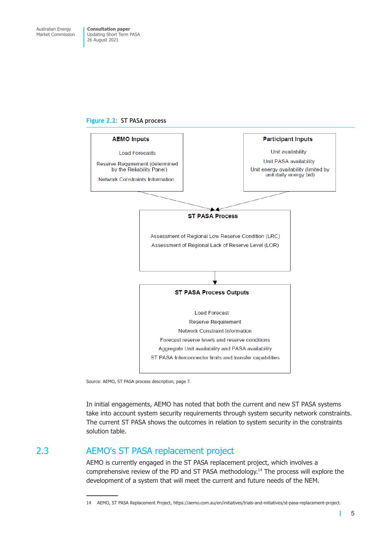#### <span id="page-7-0"></span>**Figure 2.2: ST PASA process**



Source: AEMO, ST PASA process description, page 7.

In initial engagements, AEMO has noted that both the current and new ST PASA systems take into account system security requirements through system security network constraints. The current ST PASA shows the outcomes in relation to system security in the constraints solution table.

# 2.3 AEMO's ST PASA replacement project

AEMO is currently engaged in the ST PASA replacement project, which involves a comprehensive review of the PD and ST PASA methodology.14 The process will explore the development of a system that will meet the current and future needs of the NEM.

<sup>14</sup> AEMO, ST PASA Replacement Project, https://aemo.com.au/en/initiatives/trials-and-initiatives/st-pasa-replacement-project.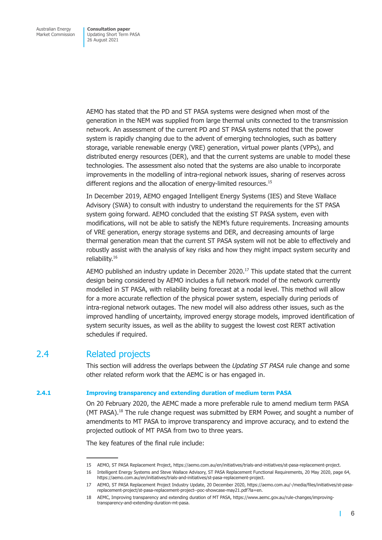<span id="page-8-0"></span>AEMO has stated that the PD and ST PASA systems were designed when most of the generation in the NEM was supplied from large thermal units connected to the transmission network. An assessment of the current PD and ST PASA systems noted that the power system is rapidly changing due to the advent of emerging technologies, such as battery storage, variable renewable energy (VRE) generation, virtual power plants (VPPs), and distributed energy resources (DER), and that the current systems are unable to model these technologies. The assessment also noted that the systems are also unable to incorporate improvements in the modelling of intra-regional network issues, sharing of reserves across different regions and the allocation of energy-limited resources.<sup>15</sup>

In December 2019, AEMO engaged Intelligent Energy Systems (IES) and Steve Wallace Advisory (SWA) to consult with industry to understand the requirements for the ST PASA system going forward. AEMO concluded that the existing ST PASA system, even with modifications, will not be able to satisfy the NEM's future requirements. Increasing amounts of VRE generation, energy storage systems and DER, and decreasing amounts of large thermal generation mean that the current ST PASA system will not be able to effectively and robustly assist with the analysis of key risks and how they might impact system security and reliability.16

AEMO published an industry update in December 2020.<sup>17</sup> This update stated that the current design being considered by AEMO includes a full network model of the network currently modelled in ST PASA, with reliability being forecast at a nodal level. This method will allow for a more accurate reflection of the physical power system, especially during periods of intra-regional network outages. The new model will also address other issues, such as the improved handling of uncertainty, improved energy storage models, improved identification of system security issues, as well as the ability to suggest the lowest cost RERT activation schedules if required.

# 2.4 Related projects

This section will address the overlaps between the *Updating ST PASA* rule change and some other related reform work that the AEMC is or has engaged in.

#### **2.4.1 Improving transparency and extending duration of medium term PASA**

On 20 February 2020, the AEMC made a more preferable rule to amend medium term PASA (MT PASA).<sup>18</sup> The rule change request was submitted by ERM Power, and sought a number of amendments to MT PASA to improve transparency and improve accuracy, and to extend the projected outlook of MT PASA from two to three years.

The key features of the final rule include:

т

<sup>15</sup> AEMO, ST PASA Replacement Project, https://aemo.com.au/en/initiatives/trials-and-initiatives/st-pasa-replacement-project.

<sup>16</sup> Intelligent Energy Systems and Steve Wallace Advisory, ST PASA Replacement Functional Requirements, 20 May 2020, page 64, https://aemo.com.au/en/initiatives/trials-and-initiatives/st-pasa-replacement-project.

<sup>17</sup> AEMO, ST PASA Replacement Project Industry Update, 20 December 2020, https://aemo.com.au/-/media/files/initiatives/st-pasareplacement-project/st-pasa-replacement-project--poc-showcase-may21.pdf?la=en.

<sup>18</sup> AEMC, Improving transparency and extending duration of MT PASA, https://www.aemc.gov.au/rule-changes/improvingtransparency-and-extending-duration-mt-pasa.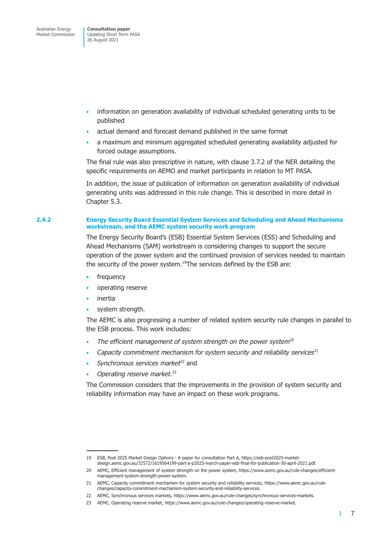- information on generation availability of individual scheduled generating units to be published
- actual demand and forecast demand published in the same format
- a maximum and minimum aggregated scheduled generating availability adjusted for forced outage assumptions.

The final rule was also prescriptive in nature, with clause 3.7.2 of the NER detailing the specific requirements on AEMO and market participants in relation to MT PASA.

In addition, the issue of publication of information on generation availability of individual generating units was addressed in this rule change. This is described in more detail in Chapter 5.3.

#### **2.4.2 Energy Security Board Essential System Services and Scheduling and Ahead Mechanisms workstream, and the AEMC system security work program**

The Energy Security Board's (ESB) Essential System Services (ESS) and Scheduling and Ahead Mechanisms (SAM) workstream is considering changes to support the secure operation of the power system and the continued provision of services needed to maintain the security of the power system.<sup>19</sup>The services defined by the ESB are:

- frequency
- operating reserve
- *inertia*
- system strength.

The AEMC is also progressing a number of related system security rule changes in parallel to the ESB process. This work includes:

- The efficient management of system strength on the power system<sup>20</sup>
- *Capacity commitment mechanism for system security and reliability services*<sup>21</sup>
- *Synchronous services market*<sup>22</sup> and
- *Operating reserve market*. <sup>23</sup> •

The Commission considers that the improvements in the provision of system security and reliability information may have an impact on these work programs.

т

<sup>19</sup> ESB, Post 2025 Market Design Options - A paper for consultation Part A, https://esb-post2025-marketdesign.aemc.gov.au/32572/1619564199-part-a-p2025-march-paper-esb-final-for-publication-30-april-2021.pdf.

<sup>20</sup> AEMC, Efficient management of system strength on the power system, https://www.aemc.gov.au/rule-changes/efficientmanagement-system-strength-power-system.

<sup>21</sup> AEMC, Capacity commitment mechanism for system security and reliability services, https://www.aemc.gov.au/rulechanges/capacity-commitment-mechanism-system-security-and-reliability-services.

<sup>22</sup> AEMC, Synchronous services markets, https://www.aemc.gov.au/rule-changes/synchronous-services-markets.

<sup>23</sup> AEMC, Operating reserve market, https://www.aemc.gov.au/rule-changes/operating-reserve-market.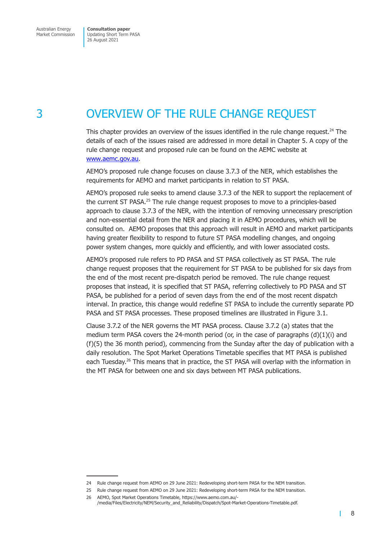<span id="page-10-0"></span>Market Commission

Updating Short Term PASA 26 August 2021

# 3 OVERVIEW OF THE RULE CHANGE REQUEST

This chapter provides an overview of the issues identified in the rule change request.<sup>24</sup> The details of each of the issues raised are addressed in more detail in Chapter 5. A copy of the rule change request and proposed rule can be found on the AEMC website at www.aemc.gov.au.

AEMO's proposed rule change focuses on clause 3.7.3 of the NER, which establishes the requirements for AEMO and market participants in relation to ST PASA.

[AEMO's proposed r](http://www.aemc.gov.au)ule seeks to amend clause 3.7.3 of the NER to support the replacement of the current ST PASA.<sup>25</sup> The rule change request proposes to move to a principles-based approach to clause 3.7.3 of the NER, with the intention of removing unnecessary prescription and non-essential detail from the NER and placing it in AEMO procedures, which will be consulted on. AEMO proposes that this approach will result in AEMO and market participants having greater flexibility to respond to future ST PASA modelling changes, and ongoing power system changes, more quickly and efficiently, and with lower associated costs.

AEMO's proposed rule refers to PD PASA and ST PASA collectively as ST PASA. The rule change request proposes that the requirement for ST PASA to be published for six days from the end of the most recent pre-dispatch period be removed. The rule change request proposes that instead, it is specified that ST PASA, referring collectively to PD PASA and ST PASA, be published for a period of seven days from the end of the most recent dispatch interval. In practice, this change would redefine ST PASA to include the currently separate PD PASA and ST PASA processes. These proposed timelines are illustrated in Figure 3.1.

Clause 3.7.2 of the NER governs the MT PASA process. Clause 3.7.2 (a) states that the medium term PASA covers the 24-month period (or, in the case of paragraphs  $(d)(1)(i)$  and (f)(5) the 36 month period), commencing from the Sunday after the day of publication with a daily resolution. The Spot Market Operations Timetable specifies that MT PASA is published each Tuesday.<sup>26</sup> This means that in practice, the ST PASA will overlap with the information in the MT PASA for between one and six days between MT PASA publications.

П

<sup>24</sup> Rule change request from AEMO on 29 June 2021: Redeveloping short-term PASA for the NEM transition.

<sup>25</sup> Rule change request from AEMO on 29 June 2021: Redeveloping short-term PASA for the NEM transition.

<sup>26</sup> AEMO, Spot Market Operations Timetable, https://www.aemo.com.au/- /media/Files/Electricity/NEM/Security\_and\_Reliability/Dispatch/Spot-Market-Operations-Timetable.pdf.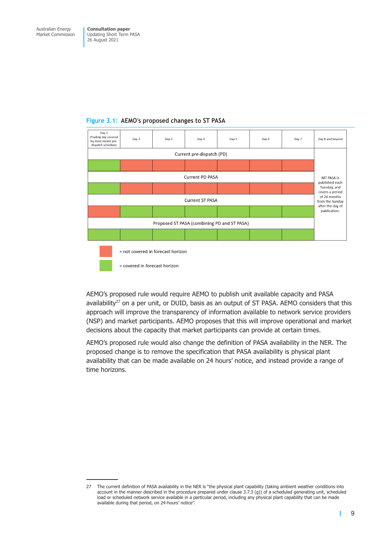

#### **Figure 3.1: AEMO's proposed changes to ST PASA**

= covered in forecast horizon

AEMO's proposed rule would require AEMO to publish unit available capacity and PASA availability<sup>27</sup> on a per unit, or DUID, basis as an output of ST PASA. AEMO considers that this approach will improve the transparency of information available to network service providers (NSP) and market participants. AEMO proposes that this will improve operational and market decisions about the capacity that market participants can provide at certain times.

AEMO's proposed rule would also change the definition of PASA availability in the NER. The proposed change is to remove the specification that PASA availability is physical plant availability that can be made available on 24 hours' notice, and instead provide a range of time horizons.

т

<sup>27</sup> The current definition of PASA availability in the NER is "the physical plant capability (taking ambient weather conditions into account in the manner described in the procedure prepared under clause 3.7.3 (g)) of a scheduled generating unit, scheduled load or scheduled network service available in a particular period, including any physical plant capability that can be made available during that period, on 24-hours' notice".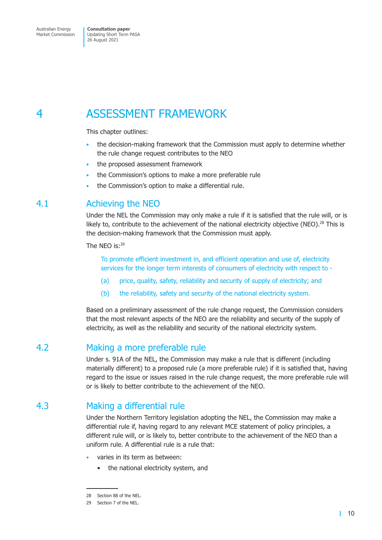# <span id="page-12-0"></span>4 ASSESSMENT FRAMEWORK

This chapter outlines:

- the decision-making framework that the Commission must apply to determine whether the rule change request contributes to the NEO
- the proposed assessment framework
- the Commission's options to make a more preferable rule
- the Commission's option to make a differential rule.

# 4.1 Achieving the NEO

Under the NEL the Commission may only make a rule if it is satisfied that the rule will, or is likely to, contribute to the achievement of the national electricity objective (NEO).<sup>28</sup> This is the decision-making framework that the Commission must apply.

The NFO  $is<sup>29</sup>$ 

To promote efficient investment in, and efficient operation and use of, electricity services for the longer term interests of consumers of electricity with respect to -

- (a) price, quality, safety, reliability and security of supply of electricity; and
- (b) the reliability, safety and security of the national electricity system.

Based on a preliminary assessment of the rule change request, the Commission considers that the most relevant aspects of the NEO are the reliability and security of the supply of electricity, as well as the reliability and security of the national electricity system.

# 4.2 Making a more preferable rule

Under s. 91A of the NEL, the Commission may make a rule that is different (including materially different) to a proposed rule (a more preferable rule) if it is satisfied that, having regard to the issue or issues raised in the rule change request, the more preferable rule will or is likely to better contribute to the achievement of the NEO.

# 4.3 Making a differential rule

Under the Northern Territory legislation adopting the NEL, the Commission may make a differential rule if, having regard to any relevant MCE statement of policy principles, a different rule will, or is likely to, better contribute to the achievement of the NEO than a uniform rule. A differential rule is a rule that:

- varies in its term as between:
	- the national electricity system, and

<sup>28</sup> Section 88 of the NEL.

<sup>29</sup> Section 7 of the NEL.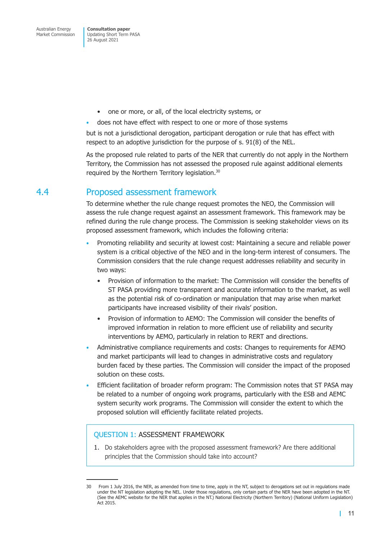- <span id="page-13-0"></span>• one or more, or all, of the local electricity systems, or
- does not have effect with respect to one or more of those systems

but is not a jurisdictional derogation, participant derogation or rule that has effect with respect to an adoptive jurisdiction for the purpose of s. 91(8) of the NEL.

As the proposed rule related to parts of the NER that currently do not apply in the Northern Territory, the Commission has not assessed the proposed rule against additional elements required by the Northern Territory legislation.30

# 4.4 Proposed assessment framework

To determine whether the rule change request promotes the NEO, the Commission will assess the rule change request against an assessment framework. This framework may be refined during the rule change process. The Commission is seeking stakeholder views on its proposed assessment framework, which includes the following criteria:

- Promoting reliability and security at lowest cost: Maintaining a secure and reliable power system is a critical objective of the NEO and in the long-term interest of consumers. The Commission considers that the rule change request addresses reliability and security in two ways:
	- Provision of information to the market: The Commission will consider the benefits of ST PASA providing more transparent and accurate information to the market, as well as the potential risk of co-ordination or manipulation that may arise when market participants have increased visibility of their rivals' position.
	- Provision of information to AEMO: The Commission will consider the benefits of improved information in relation to more efficient use of reliability and security interventions by AEMO, particularly in relation to RERT and directions.
- Administrative compliance requirements and costs: Changes to requirements for AEMO and market participants will lead to changes in administrative costs and regulatory burden faced by these parties. The Commission will consider the impact of the proposed solution on these costs.
- Efficient facilitation of broader reform program: The Commission notes that ST PASA may be related to a number of ongoing work programs, particularly with the ESB and AEMC system security work programs. The Commission will consider the extent to which the proposed solution will efficiently facilitate related projects.

### QUESTION 1: ASSESSMENT FRAMEWORK

1. Do stakeholders agree with the proposed assessment framework? Are there additional principles that the Commission should take into account?

<sup>30</sup> From 1 July 2016, the NER, as amended from time to time, apply in the NT, subject to derogations set out in regulations made under the NT legislation adopting the NEL. Under those regulations, only certain parts of the NER have been adopted in the NT. (See the AEMC website for the NER that applies in the NT.) National Electricity (Northern Territory) (National Uniform Legislation) Act 2015.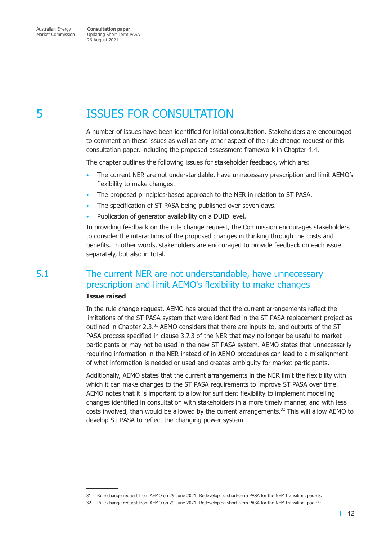# <span id="page-14-0"></span>5 ISSUES FOR CONSULTATION

A number of issues have been identified for initial consultation. Stakeholders are encouraged to comment on these issues as well as any other aspect of the rule change request or this consultation paper, including the proposed assessment framework in Chapter 4.4.

The chapter outlines the following issues for stakeholder feedback, which are:

- The current NER are not understandable, have unnecessary prescription and limit AEMO's flexibility to make changes.
- The proposed principles-based approach to the NER in relation to ST PASA.
- The specification of ST PASA being published over seven days.
- Publication of generator availability on a DUID level.

In providing feedback on the rule change request, the Commission encourages stakeholders to consider the interactions of the proposed changes in thinking through the costs and benefits. In other words, stakeholders are encouraged to provide feedback on each issue separately, but also in total.

# 5.1 The current NER are not understandable, have unnecessary prescription and limit AEMO's flexibility to make changes

#### **Issue raised**

In the rule change request, AEMO has argued that the current arrangements reflect the limitations of the ST PASA system that were identified in the ST PASA replacement project as outlined in Chapter 2.3.<sup>31</sup> AEMO considers that there are inputs to, and outputs of the ST PASA process specified in clause 3.7.3 of the NER that may no longer be useful to market participants or may not be used in the new ST PASA system. AEMO states that unnecessarily requiring information in the NER instead of in AEMO procedures can lead to a misalignment of what information is needed or used and creates ambiguity for market participants.

Additionally, AEMO states that the current arrangements in the NER limit the flexibility with which it can make changes to the ST PASA requirements to improve ST PASA over time. AEMO notes that it is important to allow for sufficient flexibility to implement modelling changes identified in consultation with stakeholders in a more timely manner, and with less costs involved, than would be allowed by the current arrangements.32 This will allow AEMO to develop ST PASA to reflect the changing power system.

<sup>31</sup> Rule change request from AEMO on 29 June 2021: Redeveloping short-term PASA for the NEM transition, page 8.

<sup>32</sup> Rule change request from AEMO on 29 June 2021: Redeveloping short-term PASA for the NEM transition, page 9.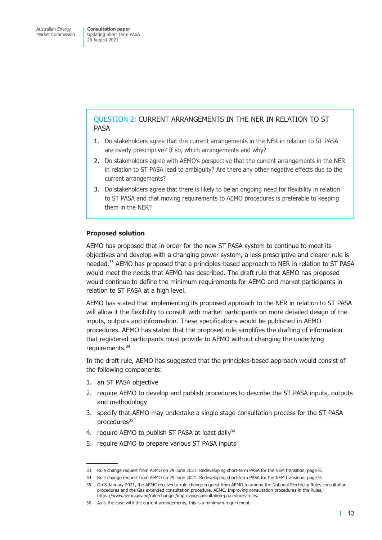### QUESTION 2: CURRENT ARRANGEMENTS IN THE NER IN RELATION TO ST PASA

- 1. Do stakeholders agree that the current arrangements in the NER in relation to ST PASA are overly prescriptive? If so, which arrangements and why?
- 2. Do stakeholders agree with AEMO's perspective that the current arrangements in the NER in relation to ST PASA lead to ambiguity? Are there any other negative effects due to the current arrangements?
- 3. Do stakeholders agree that there is likely to be an ongoing need for flexibility in relation to ST PASA and that moving requirements to AEMO procedures is preferable to keeping them in the NER?

#### **Proposed solution**

AEMO has proposed that in order for the new ST PASA system to continue to meet its objectives and develop with a changing power system, a less prescriptive and clearer rule is needed.<sup>33</sup> AEMO has proposed that a principles-based approach to NER in relation to ST PASA would meet the needs that AEMO has described. The draft rule that AEMO has proposed would continue to define the minimum requirements for AEMO and market participants in relation to ST PASA at a high level.

AEMO has stated that implementing its proposed approach to the NER in relation to ST PASA will allow it the flexibility to consult with market participants on more detailed design of the inputs, outputs and information. These specifications would be published in AEMO procedures. AEMO has stated that the proposed rule simplifies the drafting of information that registered participants must provide to AEMO without changing the underlying requirements.<sup>34</sup>

In the draft rule, AEMO has suggested that the principles-based approach would consist of the following components:

- 1. an ST PASA objective
- 2. require AEMO to develop and publish procedures to describe the ST PASA inputs, outputs and methodology
- 3. specify that AEMO may undertake a single stage consultation process for the ST PASA procedures<sup>35</sup>
- 4. require AEMO to publish ST PASA at least daily<sup>36</sup>
- 5. require AEMO to prepare various ST PASA inputs

<sup>33</sup> Rule change request from AEMO on 29 June 2021: Redeveloping short-term PASA for the NEM transition, page 8.

<sup>34</sup> Rule change request from AEMO on 29 June 2021: Redeveloping short-term PASA for the NEM transition, page 9.

<sup>35</sup> On 8 January 2021, the AEMC received a rule change request from AEMO to amend the National Electricity Rules consultation procedures and the Gas extended consultation procedure. AEMC, Improving consultation procedures in the Rules, https://www.aemc.gov.au/rule-changes/improving-consultation-procedures-rules.

<sup>36</sup> As is the case with the current arrangements, this is a minimum requirement.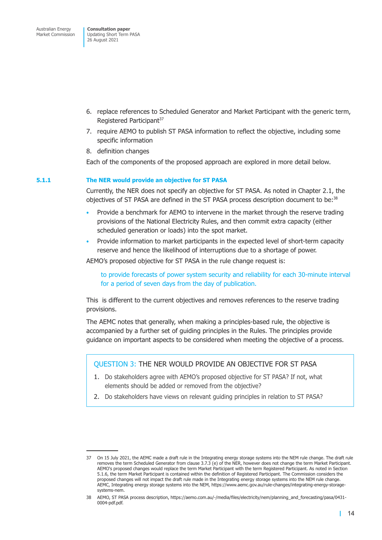- 6. replace references to Scheduled Generator and Market Participant with the generic term, Registered Participant<sup>37</sup>
- 7. require AEMO to publish ST PASA information to reflect the objective, including some specific information
- 8. definition changes

Each of the components of the proposed approach are explored in more detail below.

#### **5.1.1 The NER would provide an objective for ST PASA**

Currently, the NER does not specify an objective for ST PASA. As noted in Chapter 2.1, the objectives of ST PASA are defined in the ST PASA process description document to be:38

- Provide a benchmark for AEMO to intervene in the market through the reserve trading provisions of the National Electricity Rules, and then commit extra capacity (either scheduled generation or loads) into the spot market.
- Provide information to market participants in the expected level of short-term capacity reserve and hence the likelihood of interruptions due to a shortage of power.

AEMO's proposed objective for ST PASA in the rule change request is:

to provide forecasts of power system security and reliability for each 30-minute interval for a period of seven days from the day of publication.

This is different to the current objectives and removes references to the reserve trading provisions.

The AEMC notes that generally, when making a principles-based rule, the objective is accompanied by a further set of guiding principles in the Rules. The principles provide guidance on important aspects to be considered when meeting the objective of a process.

#### QUESTION 3: THE NER WOULD PROVIDE AN OBJECTIVE FOR ST PASA

- 1. Do stakeholders agree with AEMO's proposed objective for ST PASA? If not, what elements should be added or removed from the objective?
- 2. Do stakeholders have views on relevant guiding principles in relation to ST PASA?

<sup>37</sup> On 15 July 2021, the AEMC made a draft rule in the Integrating energy storage systems into the NEM rule change. The draft rule removes the term Scheduled Generator from clause 3.7.3 (e) of the NER, however does not change the term Market Participant. AEMO's proposed changes would replace the term Market Participant with the term Registered Participant. As noted in Section 5.1.6, the term Market Participant is contained within the definition of Registered Participant. The Commission considers the proposed changes will not impact the draft rule made in the Integrating energy storage systems into the NEM rule change. AEMC, Integrating energy storage systems into the NEM, https://www.aemc.gov.au/rule-changes/integrating-energy-storagesystems-nem.

<sup>38</sup> AEMO, ST PASA process description, https://aemo.com.au/-/media/files/electricity/nem/planning\_and\_forecasting/pasa/0431- 0004-pdf.pdf.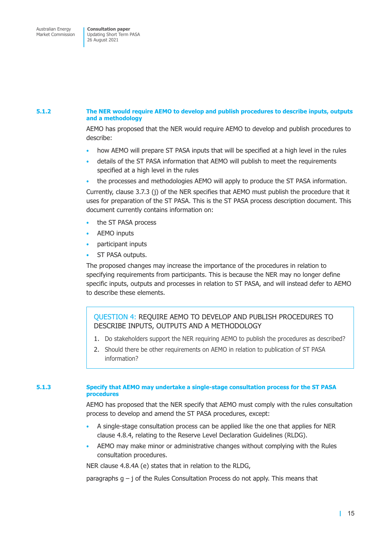#### **5.1.2 The NER would require AEMO to develop and publish procedures to describe inputs, outputs and a methodology**

AEMO has proposed that the NER would require AEMO to develop and publish procedures to describe:

- how AEMO will prepare ST PASA inputs that will be specified at a high level in the rules
- details of the ST PASA information that AEMO will publish to meet the requirements specified at a high level in the rules
- the processes and methodologies AEMO will apply to produce the ST PASA information.

Currently, clause 3.7.3 (j) of the NER specifies that AEMO must publish the procedure that it uses for preparation of the ST PASA. This is the ST PASA process description document. This document currently contains information on:

- the ST PASA process
- AEMO inputs
- participant inputs
- ST PASA outputs.

The proposed changes may increase the importance of the procedures in relation to specifying requirements from participants. This is because the NER may no longer define specific inputs, outputs and processes in relation to ST PASA, and will instead defer to AEMO to describe these elements.

QUESTION 4: REQUIRE AEMO TO DEVELOP AND PUBLISH PROCEDURES TO DESCRIBE INPUTS, OUTPUTS AND A METHODOLOGY

- 1. Do stakeholders support the NER requiring AEMO to publish the procedures as described?
- 2. Should there be other requirements on AEMO in relation to publication of ST PASA information?

#### **5.1.3 Specify that AEMO may undertake a single-stage consultation process for the ST PASA procedures**

AEMO has proposed that the NER specify that AEMO must comply with the rules consultation process to develop and amend the ST PASA procedures, except:

- A single-stage consultation process can be applied like the one that applies for NER clause 4.8.4, relating to the Reserve Level Declaration Guidelines (RLDG).
- AEMO may make minor or administrative changes without complying with the Rules consultation procedures.

NER clause 4.8.4A (e) states that in relation to the RLDG,

paragraphs  $q - j$  of the Rules Consultation Process do not apply. This means that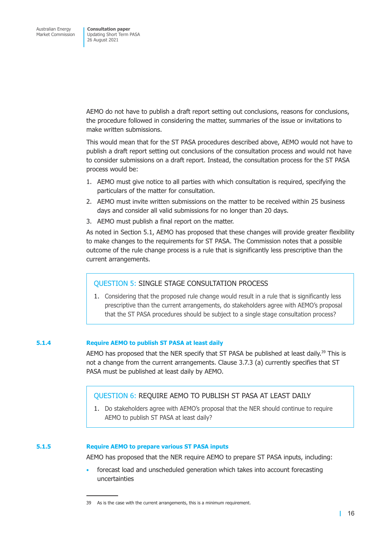AEMO do not have to publish a draft report setting out conclusions, reasons for conclusions, the procedure followed in considering the matter, summaries of the issue or invitations to make written submissions.

This would mean that for the ST PASA procedures described above, AEMO would not have to publish a draft report setting out conclusions of the consultation process and would not have to consider submissions on a draft report. Instead, the consultation process for the ST PASA process would be:

- 1. AEMO must give notice to all parties with which consultation is required, specifying the particulars of the matter for consultation.
- 2. AEMO must invite written submissions on the matter to be received within 25 business days and consider all valid submissions for no longer than 20 days.
- 3. AEMO must publish a final report on the matter.

As noted in Section 5.1, AEMO has proposed that these changes will provide greater flexibility to make changes to the requirements for ST PASA. The Commission notes that a possible outcome of the rule change process is a rule that is significantly less prescriptive than the current arrangements.

#### QUESTION 5: SINGLE STAGE CONSULTATION PROCESS

1. Considering that the proposed rule change would result in a rule that is significantly less prescriptive than the current arrangements, do stakeholders agree with AEMO's proposal that the ST PASA procedures should be subject to a single stage consultation process?

#### **5.1.4 Require AEMO to publish ST PASA at least daily**

AEMO has proposed that the NER specify that ST PASA be published at least daily.<sup>39</sup> This is not a change from the current arrangements. Clause 3.7.3 (a) currently specifies that ST PASA must be published at least daily by AEMO.

#### QUESTION 6: REQUIRE AEMO TO PUBLISH ST PASA AT LEAST DAILY

1. Do stakeholders agree with AEMO's proposal that the NER should continue to require AEMO to publish ST PASA at least daily?

#### **5.1.5 Require AEMO to prepare various ST PASA inputs**

AEMO has proposed that the NER require AEMO to prepare ST PASA inputs, including:

• forecast load and unscheduled generation which takes into account forecasting uncertainties

<sup>39</sup> As is the case with the current arrangements, this is a minimum requirement.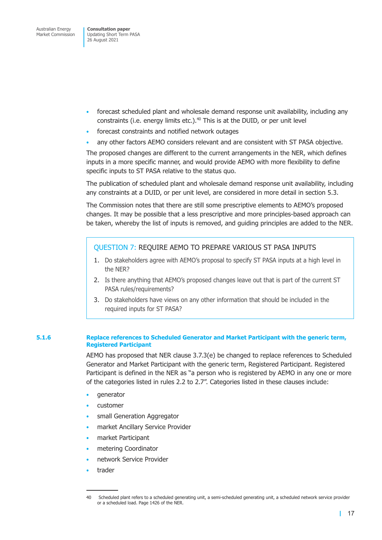- forecast scheduled plant and wholesale demand response unit availability, including any constraints (i.e. energy limits etc.).<sup>40</sup> This is at the DUID, or per unit level
- forecast constraints and notified network outages
- any other factors AEMO considers relevant and are consistent with ST PASA objective.

The proposed changes are different to the current arrangements in the NER, which defines inputs in a more specific manner, and would provide AEMO with more flexibility to define specific inputs to ST PASA relative to the status quo.

The publication of scheduled plant and wholesale demand response unit availability, including any constraints at a DUID, or per unit level, are considered in more detail in section 5.3.

The Commission notes that there are still some prescriptive elements to AEMO's proposed changes. It may be possible that a less prescriptive and more principles-based approach can be taken, whereby the list of inputs is removed, and guiding principles are added to the NER.

#### QUESTION 7: REQUIRE AEMO TO PREPARE VARIOUS ST PASA INPUTS

- 1. Do stakeholders agree with AEMO's proposal to specify ST PASA inputs at a high level in the NER?
- 2. Is there anything that AEMO's proposed changes leave out that is part of the current ST PASA rules/requirements?
- 3. Do stakeholders have views on any other information that should be included in the required inputs for ST PASA?

#### **5.1.6 Replace references to Scheduled Generator and Market Participant with the generic term, Registered Participant**

AEMO has proposed that NER clause 3.7.3(e) be changed to replace references to Scheduled Generator and Market Participant with the generic term, Registered Participant. Registered Participant is defined in the NER as "a person who is registered by AEMO in any one or more of the categories listed in rules 2.2 to 2.7". Categories listed in these clauses include:

- generator
- customer
- small Generation Aggregator
- market Ancillary Service Provider
- market Participant
- metering Coordinator
- network Service Provider
- trader

<sup>40</sup> Scheduled plant refers to a scheduled generating unit, a semi-scheduled generating unit, a scheduled network service provider or a scheduled load. Page 1426 of the NER.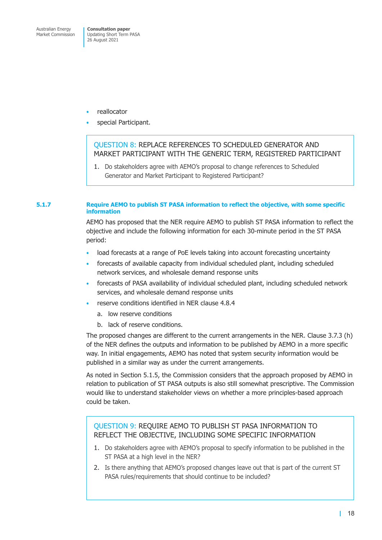- reallocator
- special Participant.

### QUESTION 8: REPLACE REFERENCES TO SCHEDULED GENERATOR AND MARKET PARTICIPANT WITH THE GENERIC TERM, REGISTERED PARTICIPANT

1. Do stakeholders agree with AEMO's proposal to change references to Scheduled Generator and Market Participant to Registered Participant?

#### **5.1.7 Require AEMO to publish ST PASA information to reflect the objective, with some specific information**

AEMO has proposed that the NER require AEMO to publish ST PASA information to reflect the objective and include the following information for each 30-minute period in the ST PASA period:

- load forecasts at a range of PoE levels taking into account forecasting uncertainty
- forecasts of available capacity from individual scheduled plant, including scheduled network services, and wholesale demand response units
- forecasts of PASA availability of individual scheduled plant, including scheduled network services, and wholesale demand response units
- reserve conditions identified in NER clause 4.8.4
	- a. low reserve conditions
	- b. lack of reserve conditions.

The proposed changes are different to the current arrangements in the NER. Clause 3.7.3 (h) of the NER defines the outputs and information to be published by AEMO in a more specific way. In initial engagements, AEMO has noted that system security information would be published in a similar way as under the current arrangements.

As noted in Section 5.1.5, the Commission considers that the approach proposed by AEMO in relation to publication of ST PASA outputs is also still somewhat prescriptive. The Commission would like to understand stakeholder views on whether a more principles-based approach could be taken.

#### QUESTION 9: REQUIRE AEMO TO PUBLISH ST PASA INFORMATION TO REFLECT THE OBJECTIVE, INCLUDING SOME SPECIFIC INFORMATION

- 1. Do stakeholders agree with AEMO's proposal to specify information to be published in the ST PASA at a high level in the NER?
- 2. Is there anything that AEMO's proposed changes leave out that is part of the current ST PASA rules/requirements that should continue to be included?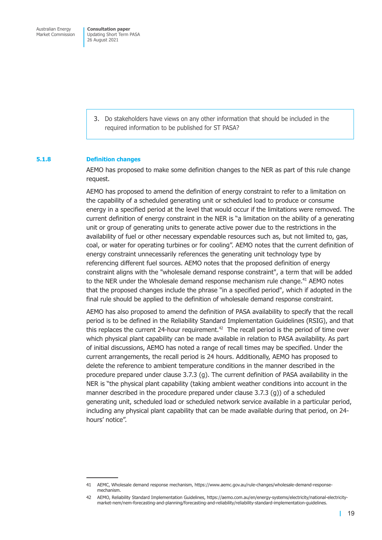> 3. Do stakeholders have views on any other information that should be included in the required information to be published for ST PASA?

#### **5.1.8 Definition changes**

AEMO has proposed to make some definition changes to the NER as part of this rule change request.

AEMO has proposed to amend the definition of energy constraint to refer to a limitation on the capability of a scheduled generating unit or scheduled load to produce or consume energy in a specified period at the level that would occur if the limitations were removed. The current definition of energy constraint in the NER is "a limitation on the ability of a generating unit or group of generating units to generate active power due to the restrictions in the availability of fuel or other necessary expendable resources such as, but not limited to, gas, coal, or water for operating turbines or for cooling". AEMO notes that the current definition of energy constraint unnecessarily references the generating unit technology type by referencing different fuel sources. AEMO notes that the proposed definition of energy constraint aligns with the "wholesale demand response constraint", a term that will be added to the NER under the Wholesale demand response mechanism rule change.<sup>41</sup> AEMO notes that the proposed changes include the phrase "in a specified period", which if adopted in the final rule should be applied to the definition of wholesale demand response constraint.

AEMO has also proposed to amend the definition of PASA availability to specify that the recall period is to be defined in the Reliability Standard Implementation Guidelines (RSIG), and that this replaces the current 24-hour requirement.<sup>42</sup> The recall period is the period of time over which physical plant capability can be made available in relation to PASA availability. As part of initial discussions, AEMO has noted a range of recall times may be specified. Under the current arrangements, the recall period is 24 hours. Additionally, AEMO has proposed to delete the reference to ambient temperature conditions in the manner described in the procedure prepared under clause 3.7.3 (g). The current definition of PASA availability in the NER is "the physical plant capability (taking ambient weather conditions into account in the manner described in the procedure prepared under clause 3.7.3 (g)) of a scheduled generating unit, scheduled load or scheduled network service available in a particular period, including any physical plant capability that can be made available during that period, on 24 hours' notice".

<sup>41</sup> AEMC, Wholesale demand response mechanism, https://www.aemc.gov.au/rule-changes/wholesale-demand-responsemechanism.

<sup>42</sup> AEMO, Reliability Standard Implementation Guidelines, https://aemo.com.au/en/energy-systems/electricity/national-electricitymarket-nem/nem-forecasting-and-planning/forecasting-and-reliability/reliability-standard-implementation-guidelines.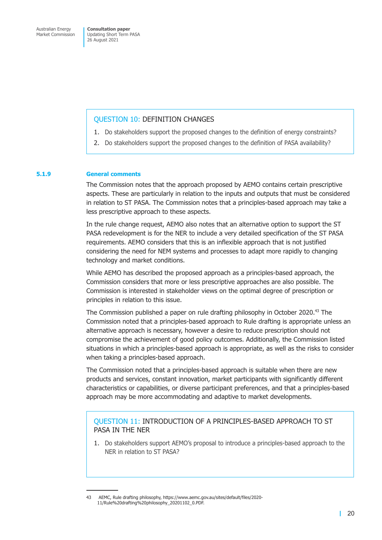#### QUESTION 10: DEFINITION CHANGES

- 1. Do stakeholders support the proposed changes to the definition of energy constraints?
- 2. Do stakeholders support the proposed changes to the definition of PASA availability?

#### **5.1.9 General comments**

The Commission notes that the approach proposed by AEMO contains certain prescriptive aspects. These are particularly in relation to the inputs and outputs that must be considered in relation to ST PASA. The Commission notes that a principles-based approach may take a less prescriptive approach to these aspects.

In the rule change request, AEMO also notes that an alternative option to support the ST PASA redevelopment is for the NER to include a very detailed specification of the ST PASA requirements. AEMO considers that this is an inflexible approach that is not justified considering the need for NEM systems and processes to adapt more rapidly to changing technology and market conditions.

While AEMO has described the proposed approach as a principles-based approach, the Commission considers that more or less prescriptive approaches are also possible. The Commission is interested in stakeholder views on the optimal degree of prescription or principles in relation to this issue.

The Commission published a paper on rule drafting philosophy in October 2020.<sup>43</sup> The Commission noted that a principles-based approach to Rule drafting is appropriate unless an alternative approach is necessary, however a desire to reduce prescription should not compromise the achievement of good policy outcomes. Additionally, the Commission listed situations in which a principles-based approach is appropriate, as well as the risks to consider when taking a principles-based approach.

The Commission noted that a principles-based approach is suitable when there are new products and services, constant innovation, market participants with significantly different characteristics or capabilities, or diverse participant preferences, and that a principles-based approach may be more accommodating and adaptive to market developments.

#### QUESTION 11: INTRODUCTION OF A PRINCIPLES-BASED APPROACH TO ST PASA IN THE NER

1. Do stakeholders support AEMO's proposal to introduce a principles-based approach to the NER in relation to ST PASA?

<sup>43</sup> AEMC, Rule drafting philosophy, https://www.aemc.gov.au/sites/default/files/2020- 11/Rule%20drafting%20philosophy\_20201102\_0.PDF.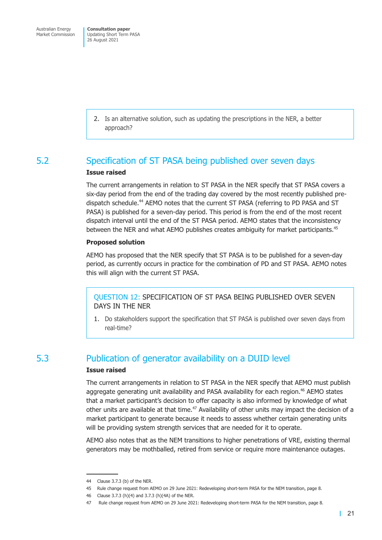> <span id="page-23-0"></span>2. Is an alternative solution, such as updating the prescriptions in the NER, a better approach?

# 5.2 Specification of ST PASA being published over seven days

#### **Issue raised**

The current arrangements in relation to ST PASA in the NER specify that ST PASA covers a six-day period from the end of the trading day covered by the most recently published predispatch schedule.<sup>44</sup> AEMO notes that the current ST PASA (referring to PD PASA and ST PASA) is published for a seven-day period. This period is from the end of the most recent dispatch interval until the end of the ST PASA period. AEMO states that the inconsistency between the NER and what AEMO publishes creates ambiguity for market participants.<sup>45</sup>

#### **Proposed solution**

AEMO has proposed that the NER specify that ST PASA is to be published for a seven-day period, as currently occurs in practice for the combination of PD and ST PASA. AEMO notes this will align with the current ST PASA.

QUESTION 12: SPECIFICATION OF ST PASA BEING PUBLISHED OVER SEVEN DAYS IN THE NER

1. Do stakeholders support the specification that ST PASA is published over seven days from real-time?

# 5.3 Publication of generator availability on a DUID level

#### **Issue raised**

The current arrangements in relation to ST PASA in the NER specify that AEMO must publish aggregate generating unit availability and PASA availability for each region.<sup>46</sup> AEMO states that a market participant's decision to offer capacity is also informed by knowledge of what other units are available at that time.<sup>47</sup> Availability of other units may impact the decision of a market participant to generate because it needs to assess whether certain generating units will be providing system strength services that are needed for it to operate.

AEMO also notes that as the NEM transitions to higher penetrations of VRE, existing thermal generators may be mothballed, retired from service or require more maintenance outages.

<sup>44</sup> Clause 3.7.3 (b) of the NER.

<sup>45</sup> Rule change request from AEMO on 29 June 2021: Redeveloping short-term PASA for the NEM transition, page 8.

<sup>46</sup> Clause 3.7.3 (h)(4) and 3.7.3 (h)(4A) of the NER.

<sup>47</sup> Rule change request from AEMO on 29 June 2021: Redeveloping short-term PASA for the NEM transition, page 8.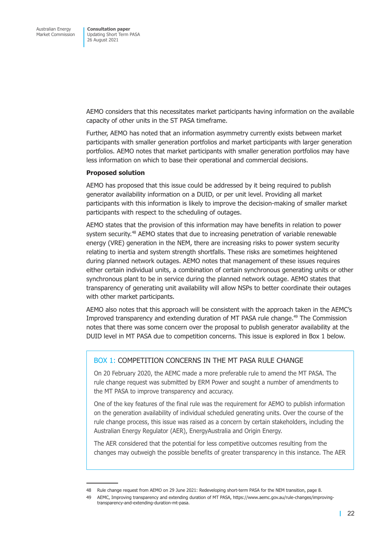AEMO considers that this necessitates market participants having information on the available capacity of other units in the ST PASA timeframe.

Further, AEMO has noted that an information asymmetry currently exists between market participants with smaller generation portfolios and market participants with larger generation portfolios. AEMO notes that market participants with smaller generation portfolios may have less information on which to base their operational and commercial decisions.

#### **Proposed solution**

AEMO has proposed that this issue could be addressed by it being required to publish generator availability information on a DUID, or per unit level. Providing all market participants with this information is likely to improve the decision-making of smaller market participants with respect to the scheduling of outages.

AEMO states that the provision of this information may have benefits in relation to power system security.<sup>48</sup> AEMO states that due to increasing penetration of variable renewable energy (VRE) generation in the NEM, there are increasing risks to power system security relating to inertia and system strength shortfalls. These risks are sometimes heightened during planned network outages. AEMO notes that management of these issues requires either certain individual units, a combination of certain synchronous generating units or other synchronous plant to be in service during the planned network outage. AEMO states that transparency of generating unit availability will allow NSPs to better coordinate their outages with other market participants.

AEMO also notes that this approach will be consistent with the approach taken in the AEMC's Improved transparency and extending duration of MT PASA rule change.49 The Commission notes that there was some concern over the proposal to publish generator availability at the DUID level in MT PASA due to competition concerns. This issue is explored in Box 1 below.

#### BOX 1: COMPETITION CONCERNS IN THE MT PASA RULE CHANGE

On 20 February 2020, the AEMC made a more preferable rule to amend the MT PASA. The rule change request was submitted by ERM Power and sought a number of amendments to the MT PASA to improve transparency and accuracy.

One of the key features of the final rule was the requirement for AEMO to publish information on the generation availability of individual scheduled generating units. Over the course of the rule change process, this issue was raised as a concern by certain stakeholders, including the Australian Energy Regulator (AER), EnergyAustralia and Origin Energy.

The AER considered that the potential for less competitive outcomes resulting from the changes may outweigh the possible benefits of greater transparency in this instance. The AER

<sup>48</sup> Rule change request from AEMO on 29 June 2021: Redeveloping short-term PASA for the NEM transition, page 8.

<sup>49</sup> AEMC, Improving transparency and extending duration of MT PASA, https://www.aemc.gov.au/rule-changes/improvingtransparency-and-extending-duration-mt-pasa.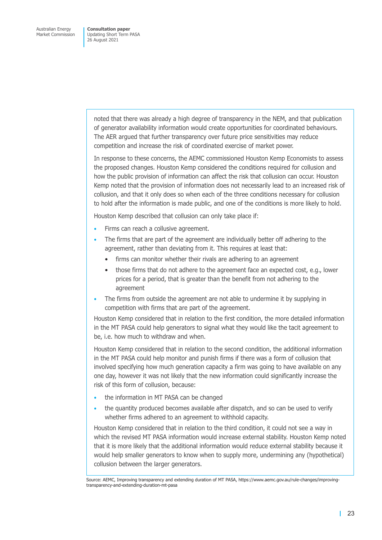> noted that there was already a high degree of transparency in the NEM, and that publication of generator availability information would create opportunities for coordinated behaviours. The AER argued that further transparency over future price sensitivities may reduce competition and increase the risk of coordinated exercise of market power.

In response to these concerns, the AEMC commissioned Houston Kemp Economists to assess the proposed changes. Houston Kemp considered the conditions required for collusion and how the public provision of information can affect the risk that collusion can occur. Houston Kemp noted that the provision of information does not necessarily lead to an increased risk of collusion, and that it only does so when each of the three conditions necessary for collusion to hold after the information is made public, and one of the conditions is more likely to hold.

Houston Kemp described that collusion can only take place if:

- Firms can reach a collusive agreement.
- The firms that are part of the agreement are individually better off adhering to the agreement, rather than deviating from it. This requires at least that:
	- firms can monitor whether their rivals are adhering to an agreement
	- those firms that do not adhere to the agreement face an expected cost, e.g., lower prices for a period, that is greater than the benefit from not adhering to the agreement
- The firms from outside the agreement are not able to undermine it by supplying in competition with firms that are part of the agreement.

Houston Kemp considered that in relation to the first condition, the more detailed information in the MT PASA could help generators to signal what they would like the tacit agreement to be, i.e. how much to withdraw and when.

Houston Kemp considered that in relation to the second condition, the additional information in the MT PASA could help monitor and punish firms if there was a form of collusion that involved specifying how much generation capacity a firm was going to have available on any one day, however it was not likely that the new information could significantly increase the risk of this form of collusion, because:

- the information in MT PASA can be changed
- the quantity produced becomes available after dispatch, and so can be used to verify whether firms adhered to an agreement to withhold capacity.

Houston Kemp considered that in relation to the third condition, it could not see a way in which the revised MT PASA information would increase external stability. Houston Kemp noted that it is more likely that the additional information would reduce external stability because it would help smaller generators to know when to supply more, undermining any (hypothetical) collusion between the larger generators.

Source: AEMC, Improving transparency and extending duration of MT PASA, https://www.aemc.gov.au/rule-changes/improvingtransparency-and-extending-duration-mt-pasa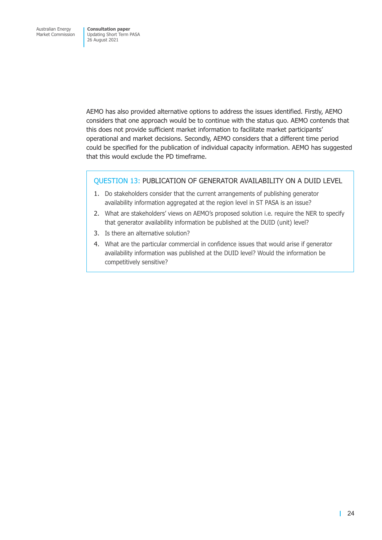AEMO has also provided alternative options to address the issues identified. Firstly, AEMO considers that one approach would be to continue with the status quo. AEMO contends that this does not provide sufficient market information to facilitate market participants' operational and market decisions. Secondly, AEMO considers that a different time period could be specified for the publication of individual capacity information. AEMO has suggested that this would exclude the PD timeframe.

#### QUESTION 13: PUBLICATION OF GENERATOR AVAILABILITY ON A DUID LEVEL

- 1. Do stakeholders consider that the current arrangements of publishing generator availability information aggregated at the region level in ST PASA is an issue?
- 2. What are stakeholders' views on AEMO's proposed solution i.e. require the NER to specify that generator availability information be published at the DUID (unit) level?
- 3. Is there an alternative solution?
- 4. What are the particular commercial in confidence issues that would arise if generator availability information was published at the DUID level? Would the information be competitively sensitive?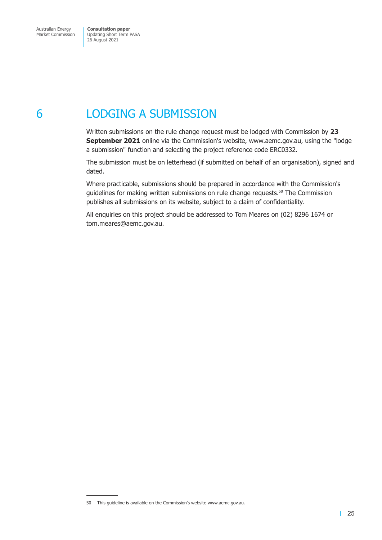# <span id="page-27-0"></span>6 LODGING A SUBMISSION

Written submissions on the rule change request must be lodged with Commission by **23 September 2021** online via the Commission's website, www.aemc.gov.au, using the "lodge a submission" function and selecting the project reference code ERC0332.

The submission must be on letterhead (if submitted on behalf of an organisation), signed and dated.

Where practicable, submissions should be prepared in accordance with the Commission's guidelines for making written submissions on rule change requests.<sup>50</sup> The Commission publishes all submissions on its website, subject to a claim of confidentiality.

All enquiries on this project should be addressed to Tom Meares on (02) 8296 1674 or tom.meares@aemc.gov.au.

<sup>50</sup> This guideline is available on the Commission's website www.aemc.gov.au.